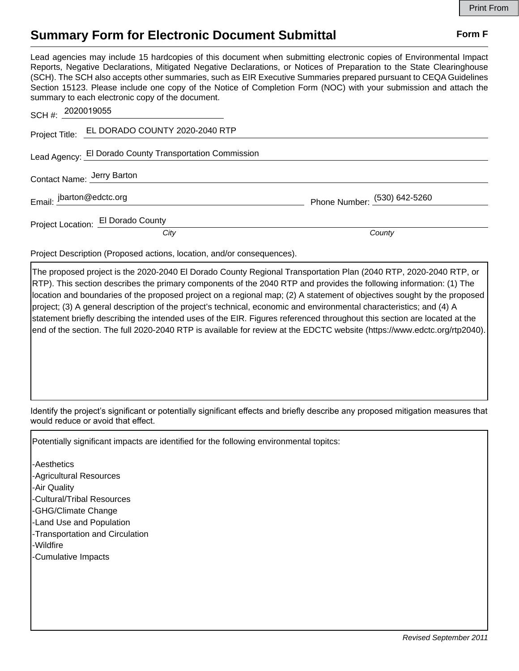## **Summary Form for Electronic Document Submittal Form F Form F**

Lead agencies may include 15 hardcopies of this document when submitting electronic copies of Environmental Impact Reports, Negative Declarations, Mitigated Negative Declarations, or Notices of Preparation to the State Clearinghouse (SCH). The SCH also accepts other summaries, such as EIR Executive Summaries prepared pursuant to CEQA Guidelines Section 15123. Please include one copy of the Notice of Completion Form (NOC) with your submission and attach the summary to each electronic copy of the document.

| SCH #: 2020019055          |                                                                        |                              |
|----------------------------|------------------------------------------------------------------------|------------------------------|
|                            | Project Title: EL DORADO COUNTY 2020-2040 RTP                          |                              |
|                            | Lead Agency: El Dorado County Transportation Commission                |                              |
| Contact Name: Jerry Barton |                                                                        |                              |
| Email: jbarton@edctc.org   |                                                                        | Phone Number: (530) 642-5260 |
|                            | Project Location: El Dorado County                                     |                              |
|                            | City                                                                   | County                       |
|                            | Project Description (Proposed actions, location, and/or consequences). |                              |

The proposed project is the 2020-2040 El Dorado County Regional Transportation Plan (2040 RTP, 2020-2040 RTP, or RTP). This section describes the primary components of the 2040 RTP and provides the following information: (1) The location and boundaries of the proposed project on a regional map; (2) A statement of objectives sought by the proposed project; (3) A general description of the project's technical, economic and environmental characteristics; and (4) A statement briefly describing the intended uses of the EIR. Figures referenced throughout this section are located at the end of the section. The full 2020-2040 RTP is available for review at the EDCTC website (https://www.edctc.org/rtp2040).

Identify the project's significant or potentially significant effects and briefly describe any proposed mitigation measures that would reduce or avoid that effect.

Potentially significant impacts are identified for the following environmental topitcs:

-Aesthetics -Agricultural Resources -Air Quality -Cultural/Tribal Resources -GHG/Climate Change -Land Use and Population -Transportation and Circulation -Wildfire -Cumulative Impacts